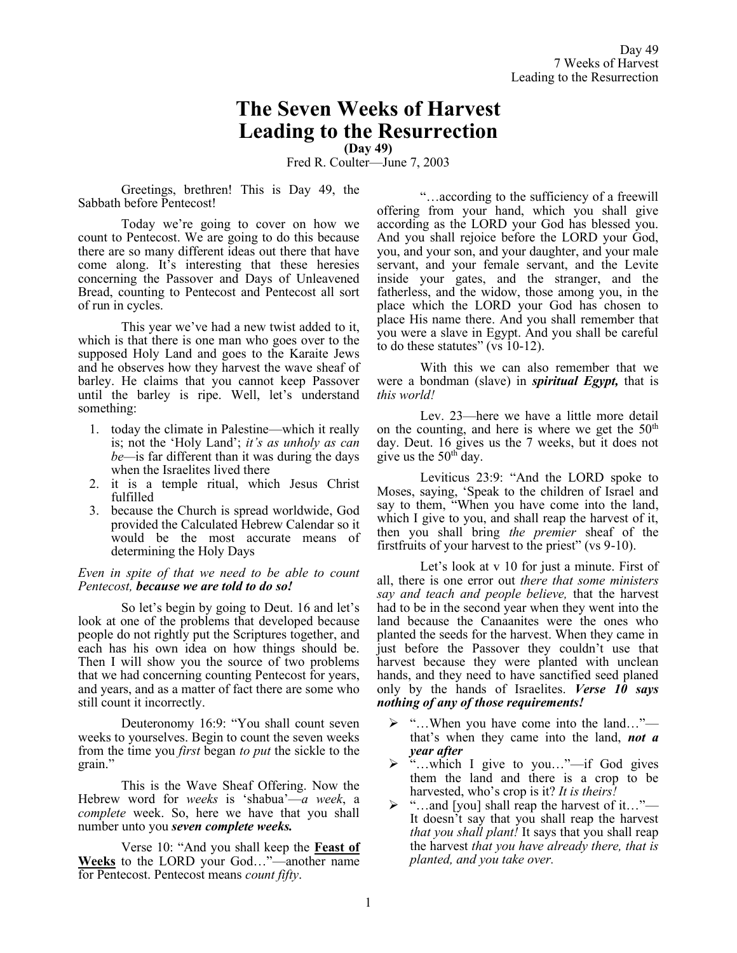# **The Seven Weeks of Harvest Leading to the Resurrection**

**(Day 49)**

Fred R. Coulter—June 7, 2003

Greetings, brethren! This is Day 49, the Sabbath before Pentecost!

Today we're going to cover on how we count to Pentecost. We are going to do this because there are so many different ideas out there that have come along. It's interesting that these heresies concerning the Passover and Days of Unleavened Bread, counting to Pentecost and Pentecost all sort of run in cycles.

This year we've had a new twist added to it, which is that there is one man who goes over to the supposed Holy Land and goes to the Karaite Jews and he observes how they harvest the wave sheaf of barley. He claims that you cannot keep Passover until the barley is ripe. Well, let's understand something:

- 1. today the climate in Palestine—which it really is; not the 'Holy Land'; *it's as unholy as can be—*is far different than it was during the days when the Israelites lived there
- 2. it is a temple ritual, which Jesus Christ fulfilled
- 3. because the Church is spread worldwide, God provided the Calculated Hebrew Calendar so it would be the most accurate means of determining the Holy Days

#### *Even in spite of that we need to be able to count Pentecost, because we are told to do so!*

So let's begin by going to Deut. 16 and let's look at one of the problems that developed because people do not rightly put the Scriptures together, and each has his own idea on how things should be. Then I will show you the source of two problems that we had concerning counting Pentecost for years, and years, and as a matter of fact there are some who still count it incorrectly.

Deuteronomy 16:9: "You shall count seven weeks to yourselves. Begin to count the seven weeks from the time you *first* began *to put* the sickle to the grain."

This is the Wave Sheaf Offering. Now the Hebrew word for *weeks* is 'shabua'—*a week*, a *complete* week. So, here we have that you shall number unto you *seven complete weeks.*

Verse 10: "And you shall keep the **Feast of Weeks** to the LORD your God…"—another name for Pentecost. Pentecost means *count fifty*.

"…according to the sufficiency of a freewill offering from your hand, which you shall give according as the LORD your God has blessed you. And you shall rejoice before the LORD your God, you, and your son, and your daughter, and your male servant, and your female servant, and the Levite inside your gates, and the stranger, and the fatherless, and the widow, those among you, in the place which the LORD your God has chosen to place His name there. And you shall remember that you were a slave in Egypt. And you shall be careful to do these statutes" (vs 10-12).

With this we can also remember that we were a bondman (slave) in *spiritual Egypt,* that is *this world!*

Lev. 23—here we have a little more detail on the counting, and here is where we get the  $50<sup>th</sup>$ day. Deut. 16 gives us the 7 weeks, but it does not give us the 50<sup>th</sup> day.

Leviticus 23:9: "And the LORD spoke to Moses, saying, 'Speak to the children of Israel and say to them, "When you have come into the land, which I give to you, and shall reap the harvest of it, then you shall bring *the premier* sheaf of the firstfruits of your harvest to the priest" (vs 9-10).

Let's look at v 10 for just a minute. First of all, there is one error out *there that some ministers say and teach and people believe,* that the harvest had to be in the second year when they went into the land because the Canaanites were the ones who planted the seeds for the harvest. When they came in just before the Passover they couldn't use that harvest because they were planted with unclean hands, and they need to have sanctified seed planed only by the hands of Israelites. *Verse 10 says nothing of any of those requirements!*

- ➢ "…When you have come into the land…" that's when they came into the land, *not a year after*
- ➢ "…which I give to you…"—if God gives them the land and there is a crop to be harvested, who's crop is it? *It is theirs!*
- $\triangleright$  "...and [you] shall reap the harvest of it..."— It doesn't say that you shall reap the harvest *that you shall plant!* It says that you shall reap the harvest *that you have already there, that is planted, and you take over.*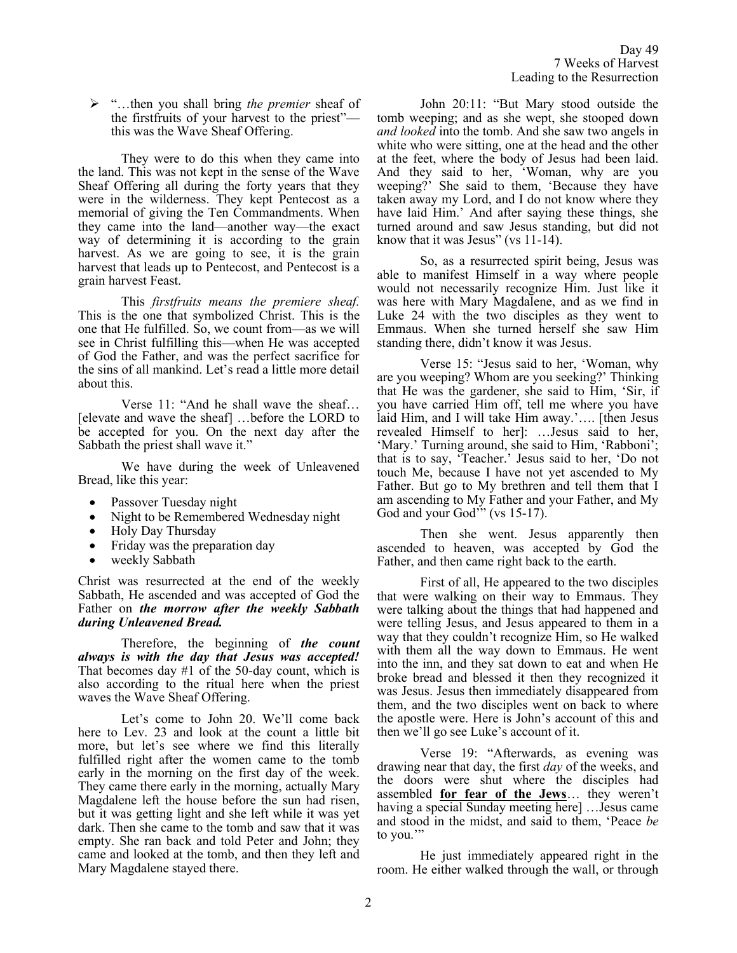➢ "…then you shall bring *the premier* sheaf of the firstfruits of your harvest to the priest" this was the Wave Sheaf Offering.

They were to do this when they came into the land. This was not kept in the sense of the Wave Sheaf Offering all during the forty years that they were in the wilderness. They kept Pentecost as a memorial of giving the Ten Commandments. When they came into the land—another way—the exact way of determining it is according to the grain harvest. As we are going to see, it is the grain harvest that leads up to Pentecost, and Pentecost is a grain harvest Feast.

This *firstfruits means the premiere sheaf.* This is the one that symbolized Christ. This is the one that He fulfilled. So, we count from—as we will see in Christ fulfilling this—when He was accepted of God the Father, and was the perfect sacrifice for the sins of all mankind. Let's read a little more detail about this.

Verse 11: "And he shall wave the sheaf… [elevate and wave the sheaf] …before the LORD to be accepted for you. On the next day after the Sabbath the priest shall wave it."

We have during the week of Unleavened Bread, like this year:

- Passover Tuesday night
- Night to be Remembered Wednesday night
- Holy Day Thursday
- Friday was the preparation day
- weekly Sabbath

Christ was resurrected at the end of the weekly Sabbath, He ascended and was accepted of God the Father on *the morrow after the weekly Sabbath during Unleavened Bread.*

Therefore, the beginning of *the count always is with the day that Jesus was accepted!*  That becomes day #1 of the 50-day count, which is also according to the ritual here when the priest waves the Wave Sheaf Offering.

Let's come to John 20. We'll come back here to Lev. 23 and look at the count a little bit more, but let's see where we find this literally fulfilled right after the women came to the tomb early in the morning on the first day of the week. They came there early in the morning, actually Mary Magdalene left the house before the sun had risen, but it was getting light and she left while it was yet dark. Then she came to the tomb and saw that it was empty. She ran back and told Peter and John; they came and looked at the tomb, and then they left and Mary Magdalene stayed there.

John 20:11: "But Mary stood outside the tomb weeping; and as she wept, she stooped down *and looked* into the tomb. And she saw two angels in white who were sitting, one at the head and the other at the feet, where the body of Jesus had been laid. And they said to her, 'Woman, why are you weeping?' She said to them, 'Because they have taken away my Lord, and I do not know where they have laid Him.' And after saying these things, she turned around and saw Jesus standing, but did not know that it was Jesus" (vs 11-14).

So, as a resurrected spirit being, Jesus was able to manifest Himself in a way where people would not necessarily recognize Him. Just like it was here with Mary Magdalene, and as we find in Luke 24 with the two disciples as they went to Emmaus. When she turned herself she saw Him standing there, didn't know it was Jesus.

Verse 15: "Jesus said to her, 'Woman, why are you weeping? Whom are you seeking?' Thinking that He was the gardener, she said to Him, 'Sir, if you have carried Him off, tell me where you have laid Him, and I will take Him away.'…. [then Jesus revealed Himself to her]: …Jesus said to her, 'Mary.' Turning around, she said to Him, 'Rabboni'; that is to say, 'Teacher.' Jesus said to her, 'Do not touch Me, because I have not yet ascended to My Father. But go to My brethren and tell them that I am ascending to My Father and your Father, and My God and your God" (vs 15-17).

Then she went. Jesus apparently then ascended to heaven, was accepted by God the Father, and then came right back to the earth.

First of all, He appeared to the two disciples that were walking on their way to Emmaus. They were talking about the things that had happened and were telling Jesus, and Jesus appeared to them in a way that they couldn't recognize Him, so He walked with them all the way down to Emmaus. He went into the inn, and they sat down to eat and when He broke bread and blessed it then they recognized it was Jesus. Jesus then immediately disappeared from them, and the two disciples went on back to where the apostle were. Here is John's account of this and then we'll go see Luke's account of it.

Verse 19: "Afterwards, as evening was drawing near that day, the first *day* of the weeks, and the doors were shut where the disciples had assembled **for fear of the Jews**… they weren't having a special Sunday meeting here] …Jesus came and stood in the midst, and said to them, 'Peace *be* to you.'"

He just immediately appeared right in the room. He either walked through the wall, or through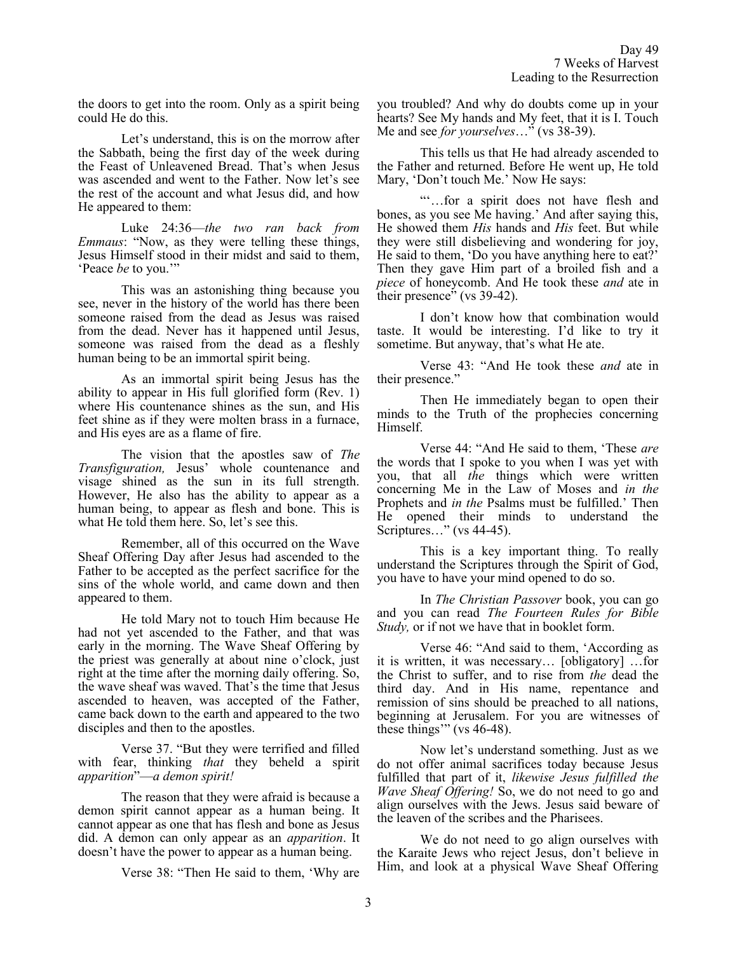the doors to get into the room. Only as a spirit being could He do this.

Let's understand, this is on the morrow after the Sabbath, being the first day of the week during the Feast of Unleavened Bread. That's when Jesus was ascended and went to the Father. Now let's see the rest of the account and what Jesus did, and how He appeared to them:

Luke 24:36—*the two ran back from Emmaus*: "Now, as they were telling these things, Jesus Himself stood in their midst and said to them, 'Peace *be* to you.'"

This was an astonishing thing because you see, never in the history of the world has there been someone raised from the dead as Jesus was raised from the dead. Never has it happened until Jesus, someone was raised from the dead as a fleshly human being to be an immortal spirit being.

As an immortal spirit being Jesus has the ability to appear in His full glorified form (Rev. 1) where His countenance shines as the sun, and His feet shine as if they were molten brass in a furnace, and His eyes are as a flame of fire.

The vision that the apostles saw of *The Transfiguration,* Jesus' whole countenance and visage shined as the sun in its full strength. However, He also has the ability to appear as a human being, to appear as flesh and bone. This is what He told them here. So, let's see this.

Remember, all of this occurred on the Wave Sheaf Offering Day after Jesus had ascended to the Father to be accepted as the perfect sacrifice for the sins of the whole world, and came down and then appeared to them.

He told Mary not to touch Him because He had not yet ascended to the Father, and that was early in the morning. The Wave Sheaf Offering by the priest was generally at about nine o'clock, just right at the time after the morning daily offering. So, the wave sheaf was waved. That's the time that Jesus ascended to heaven, was accepted of the Father, came back down to the earth and appeared to the two disciples and then to the apostles.

Verse 37. "But they were terrified and filled with fear, thinking *that* they beheld a spirit *apparition*"—*a demon spirit!*

The reason that they were afraid is because a demon spirit cannot appear as a human being. It cannot appear as one that has flesh and bone as Jesus did. A demon can only appear as an *apparition*. It doesn't have the power to appear as a human being.

Verse 38: "Then He said to them, 'Why are

you troubled? And why do doubts come up in your hearts? See My hands and My feet, that it is I. Touch Me and see *for yourselves*…" (vs 38-39).

This tells us that He had already ascended to the Father and returned. Before He went up, He told Mary, 'Don't touch Me.' Now He says:

"'…for a spirit does not have flesh and bones, as you see Me having.' And after saying this, He showed them *His* hands and *His* feet. But while they were still disbelieving and wondering for joy, He said to them, 'Do you have anything here to eat?' Then they gave Him part of a broiled fish and a *piece* of honeycomb. And He took these *and* ate in their presence" (vs 39-42).

I don't know how that combination would taste. It would be interesting. I'd like to try it sometime. But anyway, that's what He ate.

Verse 43: "And He took these *and* ate in their presence."

Then He immediately began to open their minds to the Truth of the prophecies concerning Himself.

Verse 44: "And He said to them, 'These *are* the words that I spoke to you when I was yet with you, that all *the* things which were written concerning Me in the Law of Moses and *in the* Prophets and *in the* Psalms must be fulfilled.' Then He opened their minds to understand the Scriptures…" (vs 44-45).

This is a key important thing. To really understand the Scriptures through the Spirit of God, you have to have your mind opened to do so.

In *The Christian Passover* book, you can go and you can read *The Fourteen Rules for Bible Study,* or if not we have that in booklet form.

Verse 46: "And said to them, 'According as it is written, it was necessary… [obligatory] …for the Christ to suffer, and to rise from *the* dead the third day. And in His name, repentance and remission of sins should be preached to all nations, beginning at Jerusalem. For you are witnesses of these things'" (vs 46-48).

Now let's understand something. Just as we do not offer animal sacrifices today because Jesus fulfilled that part of it, *likewise Jesus fulfilled the Wave Sheaf Offering!* So, we do not need to go and align ourselves with the Jews. Jesus said beware of the leaven of the scribes and the Pharisees.

We do not need to go align ourselves with the Karaite Jews who reject Jesus, don't believe in Him, and look at a physical Wave Sheaf Offering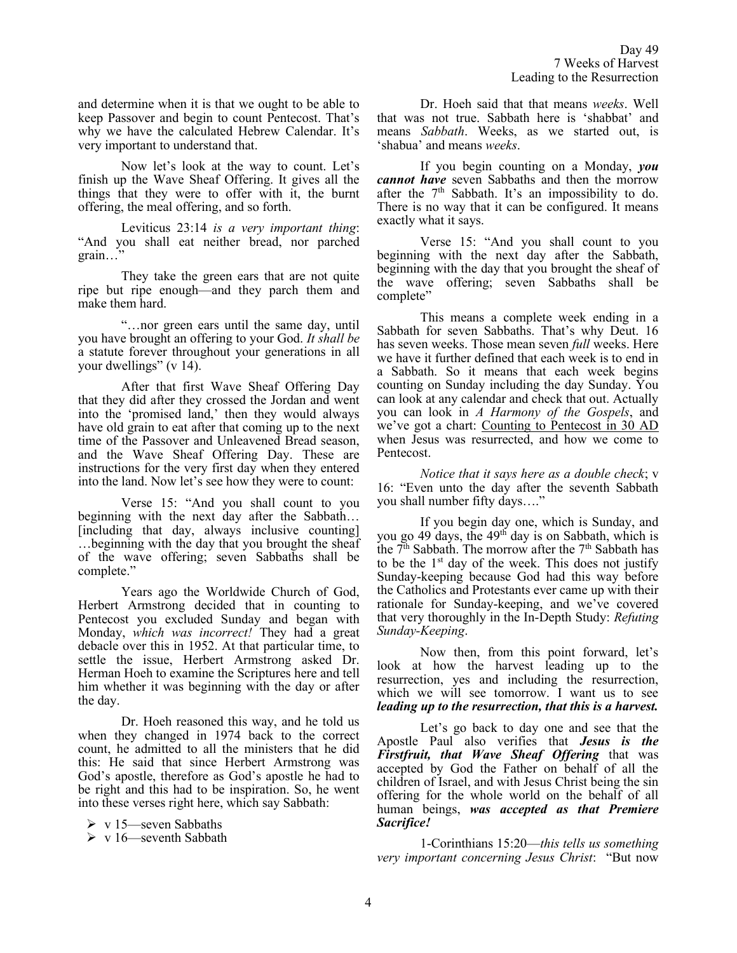and determine when it is that we ought to be able to keep Passover and begin to count Pentecost. That's why we have the calculated Hebrew Calendar. It's very important to understand that.

Now let's look at the way to count. Let's finish up the Wave Sheaf Offering. It gives all the things that they were to offer with it, the burnt offering, the meal offering, and so forth.

Leviticus 23:14 *is a very important thing*: "And you shall eat neither bread, nor parched grain…"

They take the green ears that are not quite ripe but ripe enough—and they parch them and make them hard.

"…nor green ears until the same day, until you have brought an offering to your God. *It shall be*  a statute forever throughout your generations in all your dwellings" (v 14).

After that first Wave Sheaf Offering Day that they did after they crossed the Jordan and went into the 'promised land,' then they would always have old grain to eat after that coming up to the next time of the Passover and Unleavened Bread season, and the Wave Sheaf Offering Day. These are instructions for the very first day when they entered into the land. Now let's see how they were to count:

Verse 15: "And you shall count to you beginning with the next day after the Sabbath… [including that day, always inclusive counting] …beginning with the day that you brought the sheaf of the wave offering; seven Sabbaths shall be complete."

Years ago the Worldwide Church of God, Herbert Armstrong decided that in counting to Pentecost you excluded Sunday and began with Monday, *which was incorrect!* They had a great debacle over this in 1952. At that particular time, to settle the issue, Herbert Armstrong asked Dr. Herman Hoeh to examine the Scriptures here and tell him whether it was beginning with the day or after the day.

Dr. Hoeh reasoned this way, and he told us when they changed in 1974 back to the correct count, he admitted to all the ministers that he did this: He said that since Herbert Armstrong was God's apostle, therefore as God's apostle he had to be right and this had to be inspiration. So, he went into these verses right here, which say Sabbath:

 $\triangleright$  v 15—seven Sabbaths

➢ v 16—seventh Sabbath

Dr. Hoeh said that that means *weeks*. Well that was not true. Sabbath here is 'shabbat' and means *Sabbath*. Weeks, as we started out, is 'shabua' and means *weeks*.

If you begin counting on a Monday, *you cannot have* seven Sabbaths and then the morrow after the  $7<sup>th</sup>$  Sabbath. It's an impossibility to do. There is no way that it can be configured. It means exactly what it says.

Verse 15: "And you shall count to you beginning with the next day after the Sabbath, beginning with the day that you brought the sheaf of the wave offering; seven Sabbaths shall be complete"

This means a complete week ending in a Sabbath for seven Sabbaths. That's why Deut. 16 has seven weeks. Those mean seven *full* weeks. Here we have it further defined that each week is to end in a Sabbath. So it means that each week begins counting on Sunday including the day Sunday. You can look at any calendar and check that out. Actually you can look in *A Harmony of the Gospels*, and we've got a chart: Counting to Pentecost in 30 AD when Jesus was resurrected, and how we come to Pentecost.

*Notice that it says here as a double check*; v 16: "Even unto the day after the seventh Sabbath you shall number fifty days…."

If you begin day one, which is Sunday, and you go 49 days, the 49<sup>th</sup> day is on Sabbath, which is the  $7<sup>th</sup>$  Sabbath. The morrow after the  $7<sup>th</sup>$  Sabbath has to be the  $1<sup>st</sup>$  day of the week. This does not justify Sunday-keeping because God had this way before the Catholics and Protestants ever came up with their rationale for Sunday-keeping, and we've covered that very thoroughly in the In-Depth Study: *Refuting Sunday-Keeping*.

Now then, from this point forward, let's look at how the harvest leading up to the resurrection, yes and including the resurrection, which we will see tomorrow. I want us to see *leading up to the resurrection, that this is a harvest.*

Let's go back to day one and see that the Apostle Paul also verifies that *Jesus is the Firstfruit, that Wave Sheaf Offering* that was accepted by God the Father on behalf of all the children of Israel, and with Jesus Christ being the sin offering for the whole world on the behalf of all human beings, *was accepted as that Premiere Sacrifice!*

1-Corinthians 15:20—*this tells us something very important concerning Jesus Christ*: "But now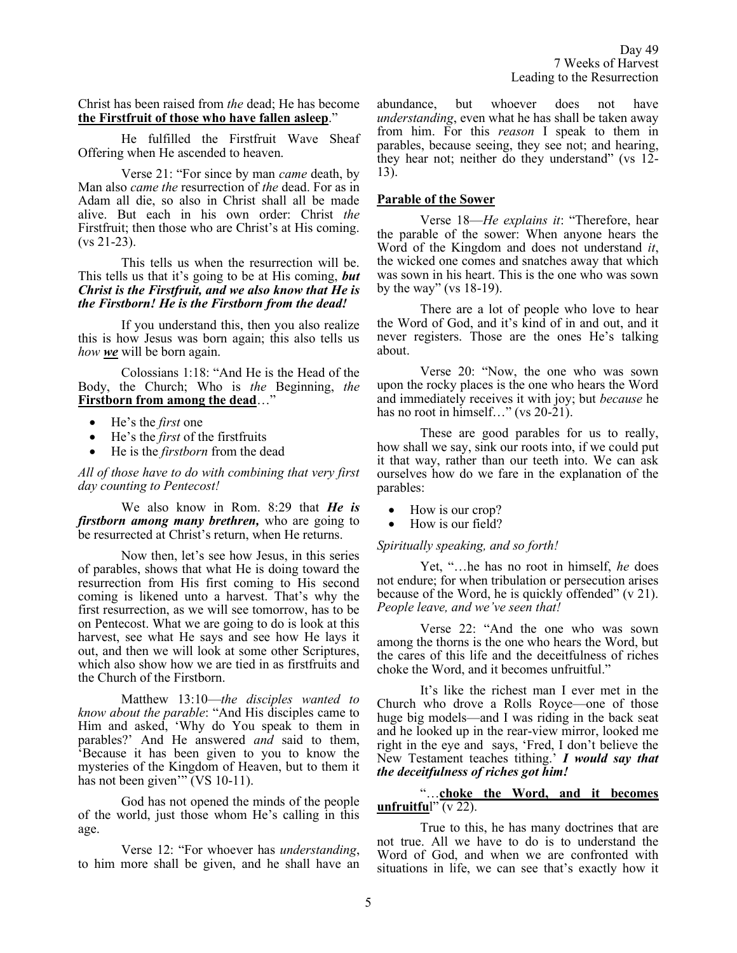Christ has been raised from *the* dead; He has become **the Firstfruit of those who have fallen asleep**."

He fulfilled the Firstfruit Wave Sheaf Offering when He ascended to heaven.

Verse 21: "For since by man *came* death, by Man also *came the* resurrection of *the* dead. For as in Adam all die, so also in Christ shall all be made alive. But each in his own order: Christ *the* Firstfruit; then those who are Christ's at His coming. (vs 21-23).

This tells us when the resurrection will be. This tells us that it's going to be at His coming, *but Christ is the Firstfruit, and we also know that He is the Firstborn! He is the Firstborn from the dead!*

If you understand this, then you also realize this is how Jesus was born again; this also tells us *how we* will be born again.

Colossians 1:18: "And He is the Head of the Body, the Church; Who is *the* Beginning, *the* **Firstborn from among the dead**…"

- He's the *first* one
- He's the *first* of the firstfruits
- He is the *firstborn* from the dead

*All of those have to do with combining that very first day counting to Pentecost!*

We also know in Rom. 8:29 that *He is firstborn among many brethren,* who are going to be resurrected at Christ's return, when He returns.

Now then, let's see how Jesus, in this series of parables, shows that what He is doing toward the resurrection from His first coming to His second coming is likened unto a harvest. That's why the first resurrection, as we will see tomorrow, has to be on Pentecost. What we are going to do is look at this harvest, see what He says and see how He lays it out, and then we will look at some other Scriptures, which also show how we are tied in as firstfruits and the Church of the Firstborn.

Matthew 13:10—*the disciples wanted to know about the parable*: "And His disciples came to Him and asked, 'Why do You speak to them in parables?' And He answered *and* said to them, 'Because it has been given to you to know the mysteries of the Kingdom of Heaven, but to them it has not been given'" (VS 10-11).

God has not opened the minds of the people of the world, just those whom He's calling in this age.

Verse 12: "For whoever has *understanding*, to him more shall be given, and he shall have an abundance, but whoever does not have *understanding*, even what he has shall be taken away from him. For this *reason* I speak to them in parables, because seeing, they see not; and hearing, they hear not; neither do they understand" (vs 12- 13).

## **Parable of the Sower**

Verse 18—*He explains it*: "Therefore, hear the parable of the sower: When anyone hears the Word of the Kingdom and does not understand *it*, the wicked one comes and snatches away that which was sown in his heart. This is the one who was sown by the way" (vs  $18-19$ ).

There are a lot of people who love to hear the Word of God, and it's kind of in and out, and it never registers. Those are the ones He's talking about.

Verse 20: "Now, the one who was sown upon the rocky places is the one who hears the Word and immediately receives it with joy; but *because* he has no root in himself..." (vs 20-21).

These are good parables for us to really, how shall we say, sink our roots into, if we could put it that way, rather than our teeth into. We can ask ourselves how do we fare in the explanation of the parables:

- How is our crop?
- How is our field?

#### *Spiritually speaking, and so forth!*

Yet, "…he has no root in himself, *he* does not endure; for when tribulation or persecution arises because of the Word, he is quickly offended" (v 21). *People leave, and we've seen that!*

Verse 22: "And the one who was sown among the thorns is the one who hears the Word, but the cares of this life and the deceitfulness of riches choke the Word, and it becomes unfruitful."

It's like the richest man I ever met in the Church who drove a Rolls Royce—one of those huge big models—and I was riding in the back seat and he looked up in the rear-view mirror, looked me right in the eye and says, 'Fred, I don't believe the New Testament teaches tithing.' *I would say that the deceitfulness of riches got him!* 

# "…**choke the Word, and it becomes unfruitfu**l" (v 22).

True to this, he has many doctrines that are not true. All we have to do is to understand the Word of God, and when we are confronted with situations in life, we can see that's exactly how it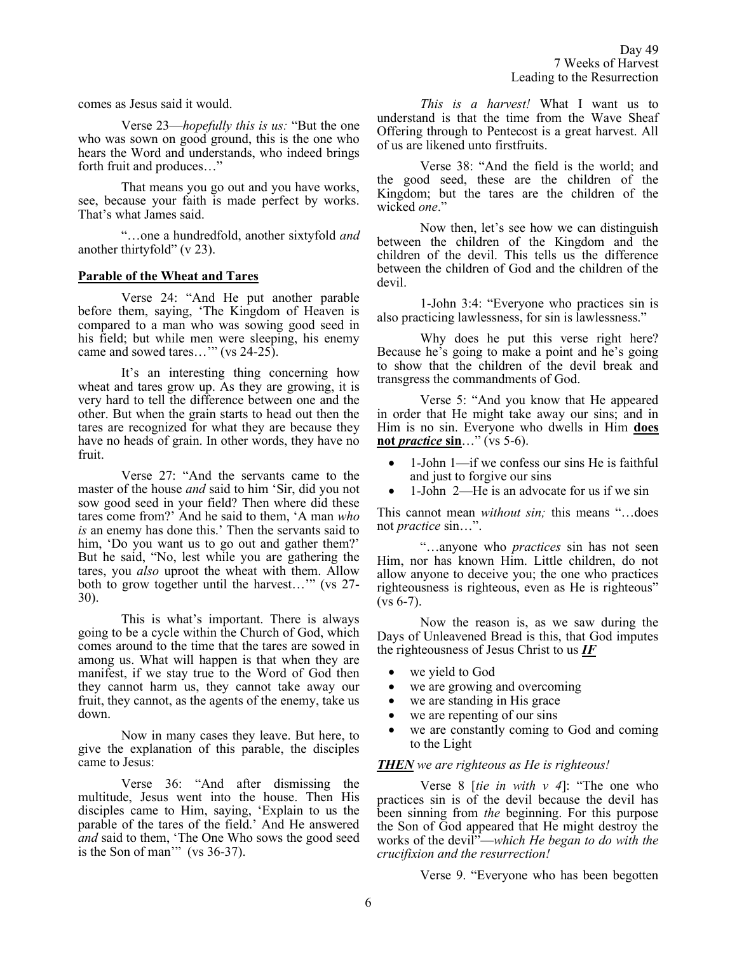comes as Jesus said it would.

Verse 23—*hopefully this is us:* "But the one who was sown on good ground, this is the one who hears the Word and understands, who indeed brings forth fruit and produces…"

That means you go out and you have works, see, because your faith is made perfect by works. That's what James said.

"…one a hundredfold, another sixtyfold *and* another thirtyfold" (v 23).

# **Parable of the Wheat and Tares**

Verse 24: "And He put another parable before them, saying, 'The Kingdom of Heaven is compared to a man who was sowing good seed in his field; but while men were sleeping, his enemy came and sowed tares..." (vs 24-25).

It's an interesting thing concerning how wheat and tares grow up. As they are growing, it is very hard to tell the difference between one and the other. But when the grain starts to head out then the tares are recognized for what they are because they have no heads of grain. In other words, they have no fruit.

Verse 27: "And the servants came to the master of the house *and* said to him 'Sir, did you not sow good seed in your field? Then where did these tares come from?' And he said to them, 'A man *who is* an enemy has done this.' Then the servants said to him, 'Do you want us to go out and gather them?' But he said, "No, lest while you are gathering the tares, you *also* uproot the wheat with them. Allow both to grow together until the harvest…'" (vs 27- 30).

This is what's important. There is always going to be a cycle within the Church of God, which comes around to the time that the tares are sowed in among us. What will happen is that when they are manifest, if we stay true to the Word of God then they cannot harm us, they cannot take away our fruit, they cannot, as the agents of the enemy, take us down.

Now in many cases they leave. But here, to give the explanation of this parable, the disciples came to Jesus:

Verse 36: "And after dismissing the multitude, Jesus went into the house. Then His disciples came to Him, saying, 'Explain to us the parable of the tares of the field.' And He answered *and* said to them, 'The One Who sows the good seed is the Son of man'" (vs 36-37).

*This is a harvest!* What I want us to understand is that the time from the Wave Sheaf Offering through to Pentecost is a great harvest. All of us are likened unto firstfruits.

Verse 38: "And the field is the world; and the good seed, these are the children of the Kingdom; but the tares are the children of the wicked *one*."

Now then, let's see how we can distinguish between the children of the Kingdom and the children of the devil. This tells us the difference between the children of God and the children of the devil.

1-John 3:4: "Everyone who practices sin is also practicing lawlessness, for sin is lawlessness."

Why does he put this verse right here? Because he's going to make a point and he's going to show that the children of the devil break and transgress the commandments of God.

Verse 5: "And you know that He appeared in order that He might take away our sins; and in Him is no sin. Everyone who dwells in Him **does not** *practice* **sin**…" (vs 5-6).

- 1-John 1—if we confess our sins He is faithful and just to forgive our sins
- 1-John 2—He is an advocate for us if we sin

This cannot mean *without sin;* this means "…does not *practice* sin…".

"…anyone who *practices* sin has not seen Him, nor has known Him. Little children, do not allow anyone to deceive you; the one who practices righteousness is righteous, even as He is righteous"  $(vs 6-7)$ .

Now the reason is, as we saw during the Days of Unleavened Bread is this, that God imputes the righteousness of Jesus Christ to us *IF*

- we yield to God
- we are growing and overcoming
- we are standing in His grace
- we are repenting of our sins
- we are constantly coming to God and coming to the Light

# *THEN we are righteous as He is righteous!*

Verse 8 [*tie in with v 4*]: "The one who practices sin is of the devil because the devil has been sinning from *the* beginning. For this purpose the Son of God appeared that He might destroy the works of the devil"—*which He began to do with the crucifixion and the resurrection!*

Verse 9. "Everyone who has been begotten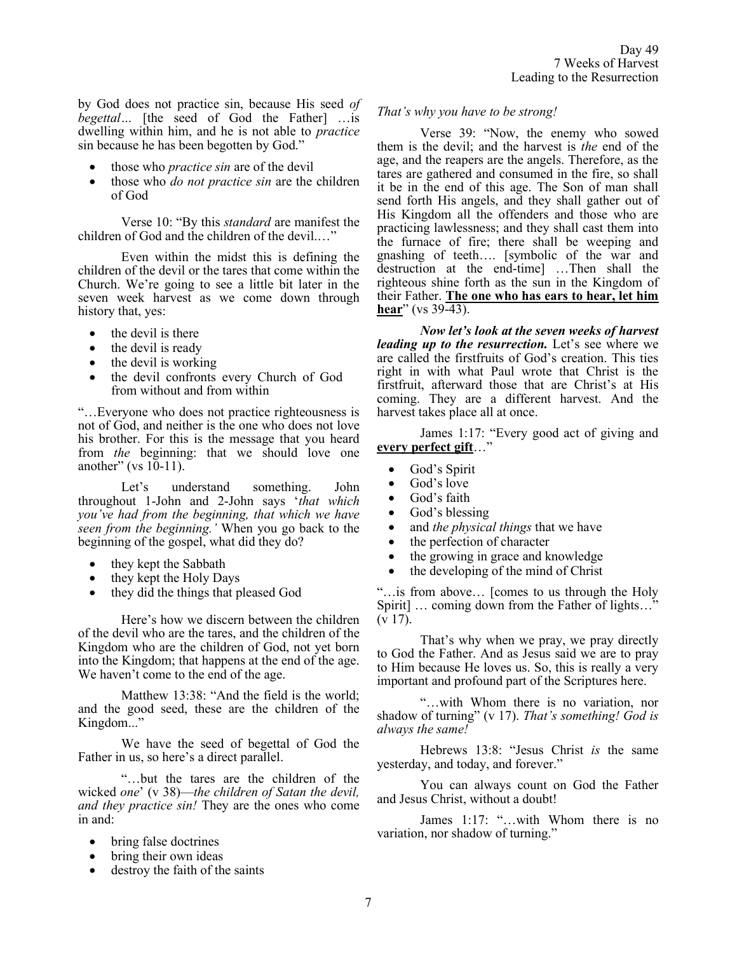by God does not practice sin, because His seed *of begettal* ... [the seed of God the Father] ...is dwelling within him, and he is not able to *practice* sin because he has been begotten by God."

- those who *practice sin* are of the devil
- those who *do not practice sin* are the children of God

Verse 10: "By this *standard* are manifest the children of God and the children of the devil.…"

Even within the midst this is defining the children of the devil or the tares that come within the Church. We're going to see a little bit later in the seven week harvest as we come down through history that, yes:

- the devil is there
- the devil is ready
- the devil is working
- the devil confronts every Church of God from without and from within

"…Everyone who does not practice righteousness is not of God, and neither is the one who does not love his brother. For this is the message that you heard from *the* beginning: that we should love one another" (vs  $10-11$ ).

Let's understand something. John throughout 1-John and 2-John says '*that which you've had from the beginning, that which we have seen from the beginning.'* When you go back to the beginning of the gospel, what did they do?

- they kept the Sabbath
- they kept the Holy Days
- they did the things that pleased God

Here's how we discern between the children of the devil who are the tares, and the children of the Kingdom who are the children of God, not yet born into the Kingdom; that happens at the end of the age. We haven't come to the end of the age.

Matthew 13:38: "And the field is the world; and the good seed, these are the children of the Kingdom..."

We have the seed of begettal of God the Father in us, so here's a direct parallel.

"…but the tares are the children of the wicked *one*' (v 38)—*the children of Satan the devil, and they practice sin!* They are the ones who come in and:

- bring false doctrines
- bring their own ideas
- destroy the faith of the saints

# *That's why you have to be strong!*

Verse 39: "Now, the enemy who sowed them is the devil; and the harvest is *the* end of the age, and the reapers are the angels. Therefore, as the tares are gathered and consumed in the fire, so shall it be in the end of this age. The Son of man shall send forth His angels, and they shall gather out of His Kingdom all the offenders and those who are practicing lawlessness; and they shall cast them into the furnace of fire; there shall be weeping and gnashing of teeth…. [symbolic of the war and destruction at the end-time] …Then shall the righteous shine forth as the sun in the Kingdom of their Father. **The one who has ears to hear, let him hear**" (vs 39-43).

*Now let's look at the seven weeks of harvest leading up to the resurrection.* Let's see where we are called the firstfruits of God's creation. This ties right in with what Paul wrote that Christ is the firstfruit, afterward those that are Christ's at His coming. They are a different harvest. And the harvest takes place all at once.

James 1:17: "Every good act of giving and **every perfect gift**…"

- God's Spirit
- God's love
- God's faith
- God's blessing
- and *the physical things* that we have
- the perfection of character
- the growing in grace and knowledge
- the developing of the mind of Christ

"…is from above… [comes to us through the Holy Spirit] … coming down from the Father of lights…"  $(v 17)$ .

That's why when we pray, we pray directly to God the Father. And as Jesus said we are to pray to Him because He loves us. So, this is really a very important and profound part of the Scriptures here.

"…with Whom there is no variation, nor shadow of turning" (v 17). *That's something! God is always the same!*

Hebrews 13:8: "Jesus Christ *is* the same yesterday, and today, and forever."

You can always count on God the Father and Jesus Christ, without a doubt!

James 1:17: "…with Whom there is no variation, nor shadow of turning."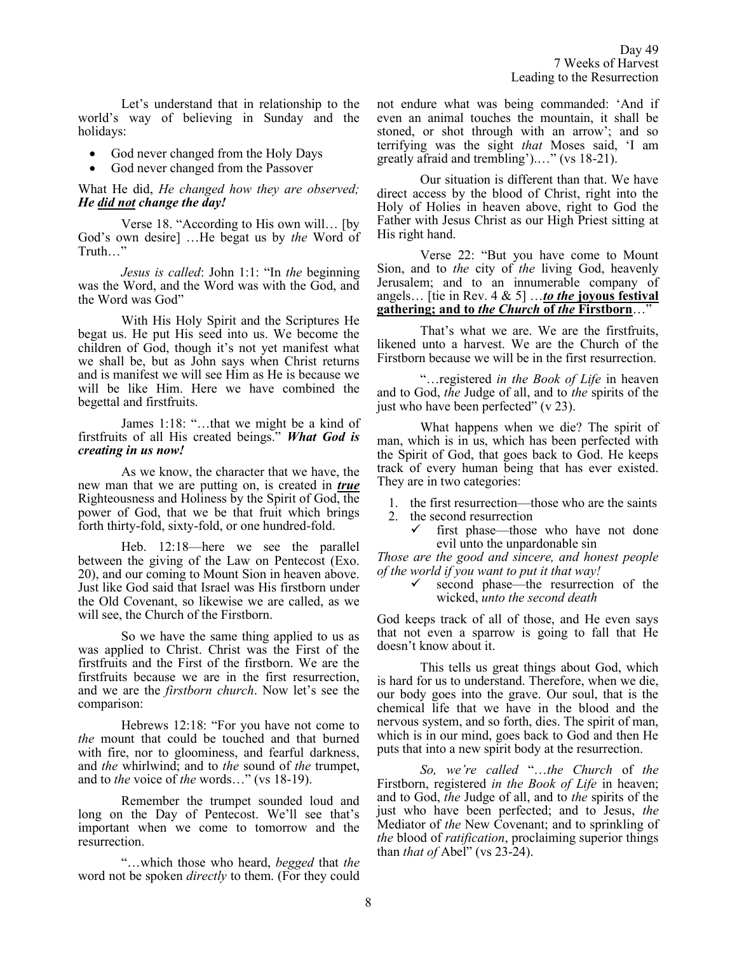Let's understand that in relationship to the world's way of believing in Sunday and the holidays:

- God never changed from the Holy Days
- God never changed from the Passover

What He did, *He changed how they are observed; He did not change the day!*

Verse 18. "According to His own will… [by God's own desire] …He begat us by *the* Word of Truth…"

*Jesus is called*: John 1:1: "In *the* beginning was the Word, and the Word was with the God, and the Word was God"

With His Holy Spirit and the Scriptures He begat us. He put His seed into us. We become the children of God, though it's not yet manifest what we shall be, but as John says when Christ returns and is manifest we will see Him as He is because we will be like Him. Here we have combined the begettal and firstfruits.

James 1:18: "…that we might be a kind of firstfruits of all His created beings." *What God is creating in us now!*

As we know, the character that we have, the new man that we are putting on, is created in *true* Righteousness and Holiness by the Spirit of God, the power of God, that we be that fruit which brings forth thirty-fold, sixty-fold, or one hundred-fold.

Heb. 12:18—here we see the parallel between the giving of the Law on Pentecost (Exo. 20), and our coming to Mount Sion in heaven above. Just like God said that Israel was His firstborn under the Old Covenant, so likewise we are called, as we will see, the Church of the Firstborn.

So we have the same thing applied to us as was applied to Christ. Christ was the First of the firstfruits and the First of the firstborn. We are the firstfruits because we are in the first resurrection, and we are the *firstborn church*. Now let's see the comparison:

Hebrews 12:18: "For you have not come to *the* mount that could be touched and that burned with fire, nor to gloominess, and fearful darkness, and *the* whirlwind; and to *the* sound of *the* trumpet, and to *the* voice of *the* words…" (vs 18-19).

Remember the trumpet sounded loud and long on the Day of Pentecost. We'll see that's important when we come to tomorrow and the resurrection.

"…which those who heard, *begged* that *the* word not be spoken *directly* to them. (For they could not endure what was being commanded: 'And if even an animal touches the mountain, it shall be stoned, or shot through with an arrow'; and so terrifying was the sight *that* Moses said, 'I am greatly afraid and trembling').…" (vs 18-21).

Our situation is different than that. We have direct access by the blood of Christ, right into the Holy of Holies in heaven above, right to God the Father with Jesus Christ as our High Priest sitting at His right hand.

Verse 22: "But you have come to Mount Sion, and to *the* city of *the* living God, heavenly Jerusalem; and to an innumerable company of angels… [tie in Rev. 4 & 5] …*to the* **joyous festival gathering; and to** *the Church* **of** *the* **Firstborn**…"

That's what we are. We are the firstfruits, likened unto a harvest. We are the Church of the Firstborn because we will be in the first resurrection.

"…registered *in the Book of Life* in heaven and to God, *the* Judge of all, and to *the* spirits of the just who have been perfected" (v 23).

What happens when we die? The spirit of man, which is in us, which has been perfected with the Spirit of God, that goes back to God. He keeps track of every human being that has ever existed. They are in two categories:

- 1. the first resurrection—those who are the saints
- 2. the second resurrection
	- first phase—those who have not done evil unto the unpardonable sin

*Those are the good and sincere, and honest people of the world if you want to put it that way!*

> ✓ second phase—the resurrection of the wicked, *unto the second death*

God keeps track of all of those, and He even says that not even a sparrow is going to fall that He doesn't know about it.

This tells us great things about God, which is hard for us to understand. Therefore, when we die, our body goes into the grave. Our soul, that is the chemical life that we have in the blood and the nervous system, and so forth, dies. The spirit of man, which is in our mind, goes back to God and then He puts that into a new spirit body at the resurrection.

*So, we're called* "…*the Church* of *the* Firstborn, registered *in the Book of Life* in heaven; and to God, *the* Judge of all, and to *the* spirits of the just who have been perfected; and to Jesus, *the* Mediator of *the* New Covenant; and to sprinkling of *the* blood of *ratification*, proclaiming superior things than *that of* Abel" (vs 23-24).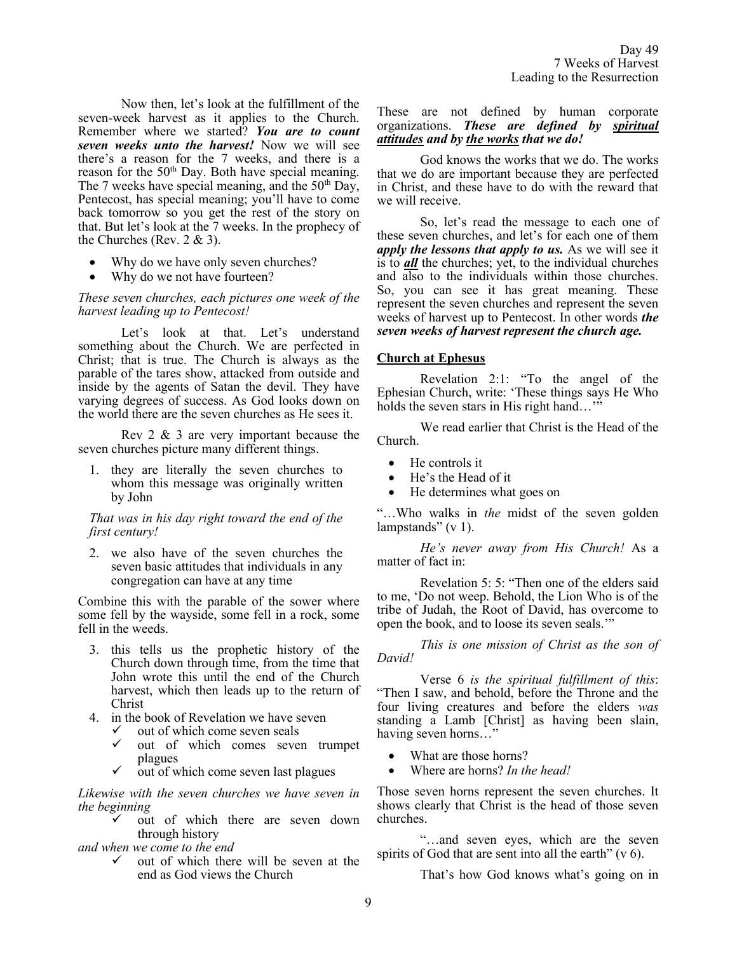Now then, let's look at the fulfillment of the seven-week harvest as it applies to the Church. Remember where we started? *You are to count seven weeks unto the harvest!* Now we will see there's a reason for the 7 weeks, and there is a reason for the 50<sup>th</sup> Day. Both have special meaning. The 7 weeks have special meaning, and the  $50<sup>th</sup>$  Day, Pentecost, has special meaning; you'll have to come back tomorrow so you get the rest of the story on that. But let's look at the 7 weeks. In the prophecy of the Churches (Rev.  $2 \& 3$ ).

- Why do we have only seven churches?
- Why do we not have fourteen?

*These seven churches, each pictures one week of the harvest leading up to Pentecost!* 

Let's look at that. Let's understand something about the Church. We are perfected in Christ; that is true. The Church is always as the parable of the tares show, attacked from outside and inside by the agents of Satan the devil. They have varying degrees of success. As God looks down on the world there are the seven churches as He sees it.

Rev 2 & 3 are very important because the seven churches picture many different things.

1. they are literally the seven churches to whom this message was originally written by John

*That was in his day right toward the end of the first century!* 

2. we also have of the seven churches the seven basic attitudes that individuals in any congregation can have at any time

Combine this with the parable of the sower where some fell by the wayside, some fell in a rock, some fell in the weeds.

- 3. this tells us the prophetic history of the Church down through time, from the time that John wrote this until the end of the Church harvest, which then leads up to the return of Christ
- 4. in the book of Revelation we have seven
	- $\checkmark$  out of which come seven seals
	- out of which comes seven trumpet plagues
	- $\checkmark$  out of which come seven last plagues

*Likewise with the seven churches we have seven in the beginning* 

out of which there are seven down through history

*and when we come to the end* 

✓ out of which there will be seven at the end as God views the Church

## These are not defined by human corporate organizations. *These are defined by spiritual attitudes and by the works that we do!*

God knows the works that we do. The works that we do are important because they are perfected in Christ, and these have to do with the reward that we will receive.

So, let's read the message to each one of these seven churches, and let's for each one of them *apply the lessons that apply to us.* As we will see it is to *all* the churches; yet, to the individual churches and also to the individuals within those churches. So, you can see it has great meaning. These represent the seven churches and represent the seven weeks of harvest up to Pentecost. In other words *the seven weeks of harvest represent the church age.*

# **Church at Ephesus**

Revelation 2:1: "To the angel of the Ephesian Church, write: 'These things says He Who holds the seven stars in His right hand..."

We read earlier that Christ is the Head of the Church.

- He controls it
- He's the Head of it
- He determines what goes on

"…Who walks in *the* midst of the seven golden lampstands" (v 1).

*He's never away from His Church!* As a matter of fact in:

Revelation 5: 5: "Then one of the elders said to me, 'Do not weep. Behold, the Lion Who is of the tribe of Judah, the Root of David, has overcome to open the book, and to loose its seven seals.'"

*This is one mission of Christ as the son of David!*

Verse 6 *is the spiritual fulfillment of this*: "Then I saw, and behold, before the Throne and the four living creatures and before the elders *was* standing a Lamb [Christ] as having been slain, having seven horns…"

- What are those horns?
- Where are horns? *In the head!*

Those seven horns represent the seven churches. It shows clearly that Christ is the head of those seven churches.

"…and seven eyes, which are the seven spirits of God that are sent into all the earth"  $(v 6)$ .

That's how God knows what's going on in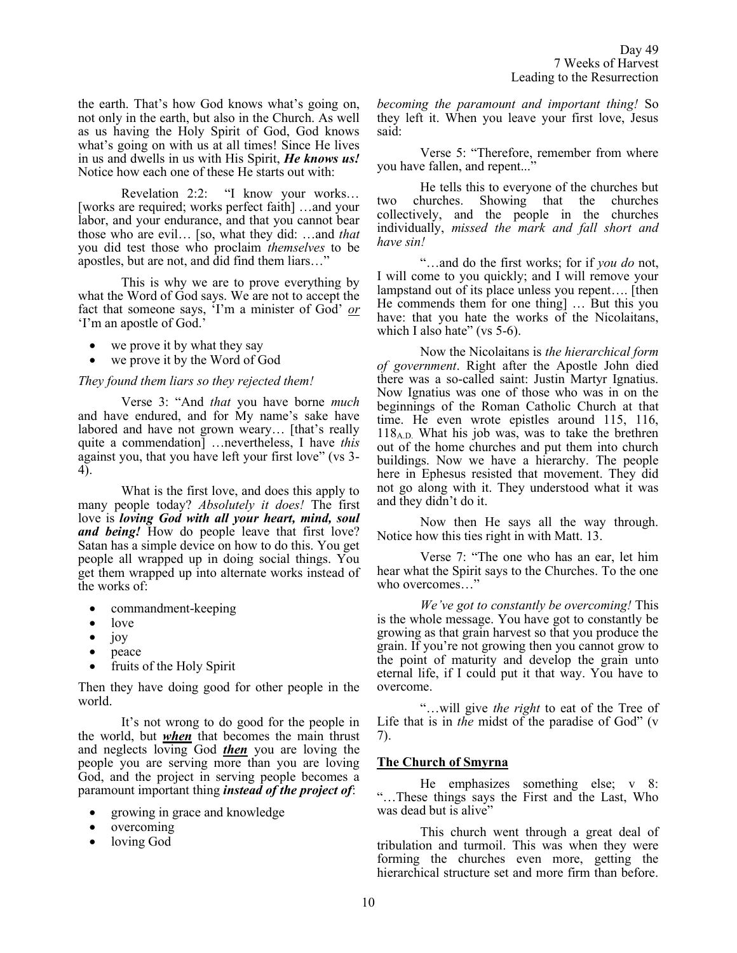the earth. That's how God knows what's going on, not only in the earth, but also in the Church. As well as us having the Holy Spirit of God, God knows what's going on with us at all times! Since He lives in us and dwells in us with His Spirit, *He knows us!*  Notice how each one of these He starts out with:

Revelation 2:2: "I know your works… [works are required; works perfect faith] …and your labor, and your endurance, and that you cannot bear those who are evil… [so, what they did: …and *that* you did test those who proclaim *themselves* to be apostles, but are not, and did find them liars…"

This is why we are to prove everything by what the Word of God says. We are not to accept the fact that someone says, 'I'm a minister of God' *or* 'I'm an apostle of God.'

- we prove it by what they say
- we prove it by the Word of God

#### *They found them liars so they rejected them!*

Verse 3: "And *that* you have borne *much* and have endured, and for My name's sake have labored and have not grown weary… [that's really quite a commendation] …nevertheless, I have *this* against you, that you have left your first love" (vs 3- 4).

What is the first love, and does this apply to many people today? *Absolutely it does!* The first love is *loving God with all your heart, mind, soul and being!* How do people leave that first love? Satan has a simple device on how to do this. You get people all wrapped up in doing social things. You get them wrapped up into alternate works instead of the works of:

- commandment-keeping
- love
- joy
- peace
- fruits of the Holy Spirit

Then they have doing good for other people in the world.

It's not wrong to do good for the people in the world, but *when* that becomes the main thrust and neglects loving God *then* you are loving the people you are serving more than you are loving God, and the project in serving people becomes a paramount important thing *instead of the project of*:

- growing in grace and knowledge
- overcoming
- loving God

*becoming the paramount and important thing!* So they left it. When you leave your first love, Jesus said:

Verse 5: "Therefore, remember from where you have fallen, and repent..."

He tells this to everyone of the churches but two churches. Showing that the churches collectively, and the people in the churches individually, *missed the mark and fall short and have sin!*

"…and do the first works; for if *you do* not, I will come to you quickly; and I will remove your lampstand out of its place unless you repent…. [then He commends them for one thing] … But this you have: that you hate the works of the Nicolaitans, which I also hate" (vs 5-6).

Now the Nicolaitans is *the hierarchical form of government*. Right after the Apostle John died there was a so-called saint: Justin Martyr Ignatius. Now Ignatius was one of those who was in on the beginnings of the Roman Catholic Church at that time. He even wrote epistles around 115, 116,  $118_{A.D.}$  What his job was, was to take the brethren out of the home churches and put them into church buildings. Now we have a hierarchy. The people here in Ephesus resisted that movement. They did not go along with it. They understood what it was and they didn't do it.

Now then He says all the way through. Notice how this ties right in with Matt. 13.

Verse 7: "The one who has an ear, let him hear what the Spirit says to the Churches. To the one who overcomes…"

*We've got to constantly be overcoming!* This is the whole message. You have got to constantly be growing as that grain harvest so that you produce the grain. If you're not growing then you cannot grow to the point of maturity and develop the grain unto eternal life, if I could put it that way. You have to overcome.

"…will give *the right* to eat of the Tree of Life that is in *the* midst of the paradise of God" (v 7).

# **The Church of Smyrna**

He emphasizes something else; v 8: "…These things says the First and the Last, Who was dead but is alive"

This church went through a great deal of tribulation and turmoil. This was when they were forming the churches even more, getting the hierarchical structure set and more firm than before.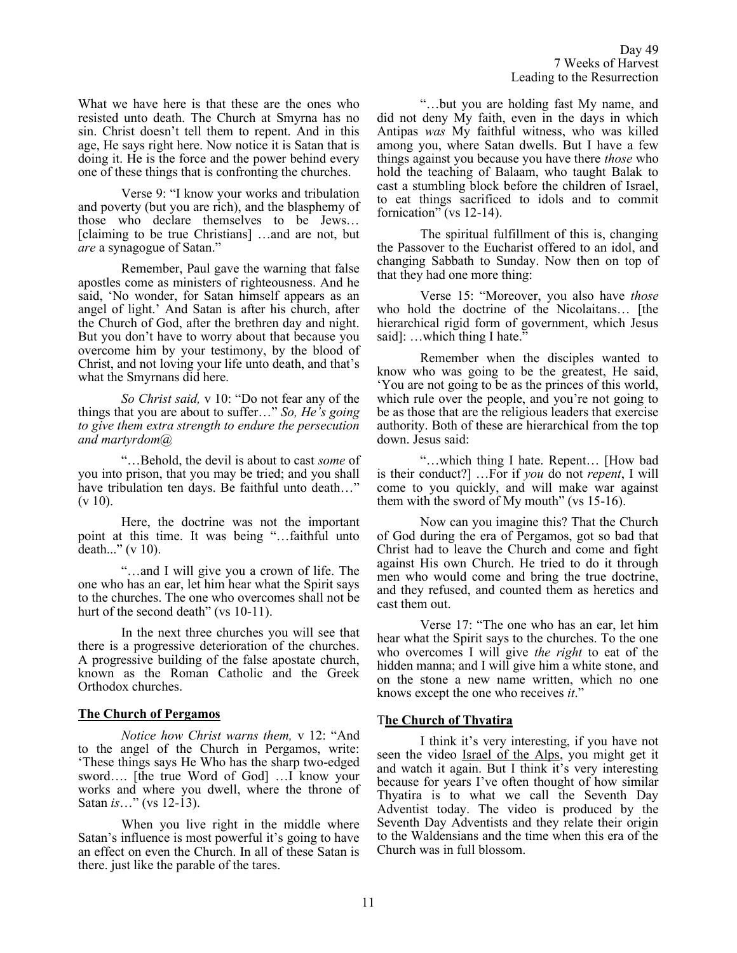What we have here is that these are the ones who resisted unto death. The Church at Smyrna has no sin. Christ doesn't tell them to repent. And in this age, He says right here. Now notice it is Satan that is doing it. He is the force and the power behind every one of these things that is confronting the churches.

Verse 9: "I know your works and tribulation and poverty (but you are rich), and the blasphemy of those who declare themselves to be Jews… [claiming to be true Christians] …and are not, but *are* a synagogue of Satan."

Remember, Paul gave the warning that false apostles come as ministers of righteousness. And he said, 'No wonder, for Satan himself appears as an angel of light.' And Satan is after his church, after the Church of God, after the brethren day and night. But you don't have to worry about that because you overcome him by your testimony, by the blood of Christ, and not loving your life unto death, and that's what the Smyrnans did here.

*So Christ said,* v 10: "Do not fear any of the things that you are about to suffer…" *So, He's going to give them extra strength to endure the persecution and martyrdom@* 

"…Behold, the devil is about to cast *some* of you into prison, that you may be tried; and you shall have tribulation ten days. Be faithful unto death…"  $(v 10)$ .

Here, the doctrine was not the important point at this time. It was being "…faithful unto death..." (v 10).

"…and I will give you a crown of life. The one who has an ear, let him hear what the Spirit says to the churches. The one who overcomes shall not be hurt of the second death" (vs 10-11).

In the next three churches you will see that there is a progressive deterioration of the churches. A progressive building of the false apostate church, known as the Roman Catholic and the Greek Orthodox churches.

# **The Church of Pergamos**

*Notice how Christ warns them,* v 12: "And to the angel of the Church in Pergamos, write: 'These things says He Who has the sharp two-edged sword…. [the true Word of God] …I know your works and where you dwell, where the throne of Satan *is*…" (vs 12-13).

When you live right in the middle where Satan's influence is most powerful it's going to have an effect on even the Church. In all of these Satan is there. just like the parable of the tares.

"…but you are holding fast My name, and did not deny My faith, even in the days in which Antipas *was* My faithful witness, who was killed among you, where Satan dwells. But I have a few things against you because you have there *those* who hold the teaching of Balaam, who taught Balak to cast a stumbling block before the children of Israel, to eat things sacrificed to idols and to commit fornication" (vs 12-14).

The spiritual fulfillment of this is, changing the Passover to the Eucharist offered to an idol, and changing Sabbath to Sunday. Now then on top of that they had one more thing:

Verse 15: "Moreover, you also have *those* who hold the doctrine of the Nicolaitans… [the hierarchical rigid form of government, which Jesus said]: ...which thing I hate."

Remember when the disciples wanted to know who was going to be the greatest, He said, 'You are not going to be as the princes of this world, which rule over the people, and you're not going to be as those that are the religious leaders that exercise authority. Both of these are hierarchical from the top down. Jesus said:

"…which thing I hate. Repent… [How bad is their conduct?] …For if *you* do not *repent*, I will come to you quickly, and will make war against them with the sword of My mouth" (vs 15-16).

Now can you imagine this? That the Church of God during the era of Pergamos, got so bad that Christ had to leave the Church and come and fight against His own Church. He tried to do it through men who would come and bring the true doctrine, and they refused, and counted them as heretics and cast them out.

Verse 17: "The one who has an ear, let him hear what the Spirit says to the churches. To the one who overcomes I will give *the right* to eat of the hidden manna; and I will give him a white stone, and on the stone a new name written, which no one knows except the one who receives *it*."

# T**he Church of Thyatira**

I think it's very interesting, if you have not seen the video Israel of the Alps, you might get it and watch it again. But I think it's very interesting because for years I've often thought of how similar Thyatira is to what we call the Seventh Day Adventist today. The video is produced by the Seventh Day Adventists and they relate their origin to the Waldensians and the time when this era of the Church was in full blossom.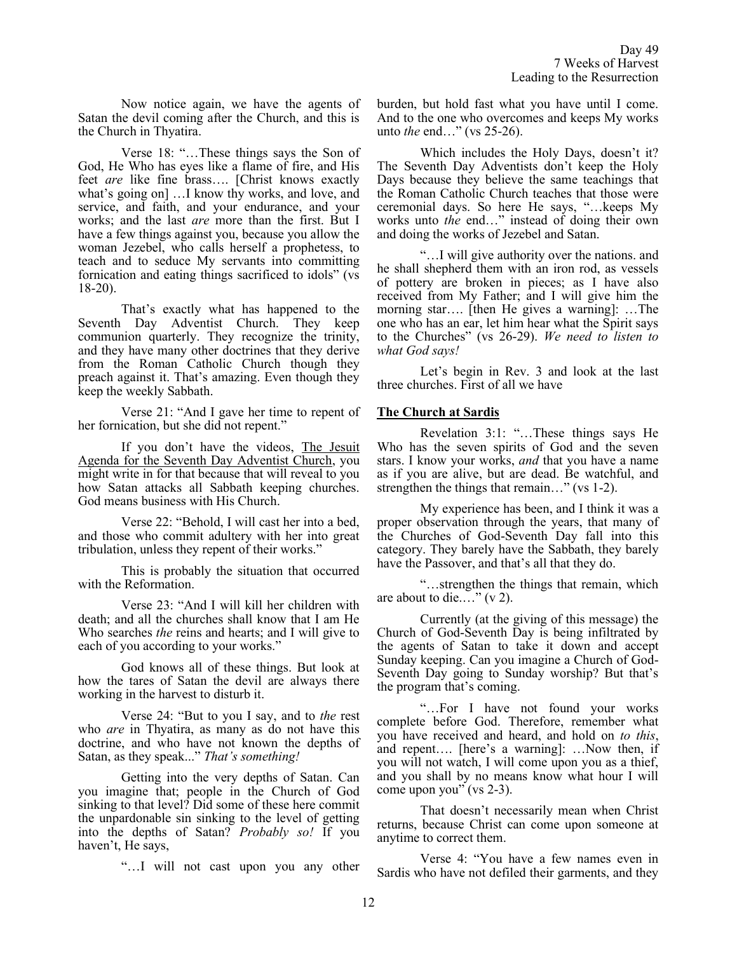Now notice again, we have the agents of Satan the devil coming after the Church, and this is the Church in Thyatira.

Verse 18: "…These things says the Son of God, He Who has eyes like a flame of fire, and His feet *are* like fine brass…. [Christ knows exactly what's going on] …I know thy works, and love, and service, and faith, and your endurance, and your works; and the last *are* more than the first. But I have a few things against you, because you allow the woman Jezebel, who calls herself a prophetess, to teach and to seduce My servants into committing fornication and eating things sacrificed to idols" (vs 18-20).

That's exactly what has happened to the Seventh Day Adventist Church. They keep communion quarterly. They recognize the trinity, and they have many other doctrines that they derive from the Roman Catholic Church though they preach against it. That's amazing. Even though they keep the weekly Sabbath.

Verse 21: "And I gave her time to repent of her fornication, but she did not repent."

If you don't have the videos, The Jesuit Agenda for the Seventh Day Adventist Church, you might write in for that because that will reveal to you how Satan attacks all Sabbath keeping churches. God means business with His Church.

Verse 22: "Behold, I will cast her into a bed, and those who commit adultery with her into great tribulation, unless they repent of their works."

This is probably the situation that occurred with the Reformation.

Verse 23: "And I will kill her children with death; and all the churches shall know that I am He Who searches *the* reins and hearts; and I will give to each of you according to your works."

God knows all of these things. But look at how the tares of Satan the devil are always there working in the harvest to disturb it.

Verse 24: "But to you I say, and to *the* rest who *are* in Thyatira, as many as do not have this doctrine, and who have not known the depths of Satan, as they speak..." *That's something!*

Getting into the very depths of Satan. Can you imagine that; people in the Church of God sinking to that level? Did some of these here commit the unpardonable sin sinking to the level of getting into the depths of Satan? *Probably so!* If you haven't, He says,

"…I will not cast upon you any other

burden, but hold fast what you have until I come. And to the one who overcomes and keeps My works unto *the* end…" (vs 25-26).

Which includes the Holy Days, doesn't it? The Seventh Day Adventists don't keep the Holy Days because they believe the same teachings that the Roman Catholic Church teaches that those were ceremonial days. So here He says, "…keeps My works unto *the* end…" instead of doing their own and doing the works of Jezebel and Satan.

"…I will give authority over the nations. and he shall shepherd them with an iron rod, as vessels of pottery are broken in pieces; as I have also received from My Father; and I will give him the morning star…. [then He gives a warning]: …The one who has an ear, let him hear what the Spirit says to the Churches" (vs 26-29). *We need to listen to what God says!*

Let's begin in Rev. 3 and look at the last three churches. First of all we have

# **The Church at Sardis**

Revelation 3:1: "…These things says He Who has the seven spirits of God and the seven stars. I know your works, *and* that you have a name as if you are alive, but are dead. Be watchful, and strengthen the things that remain…" (vs 1-2).

My experience has been, and I think it was a proper observation through the years, that many of the Churches of God-Seventh Day fall into this category. They barely have the Sabbath, they barely have the Passover, and that's all that they do.

"…strengthen the things that remain, which are about to die...."  $(v 2)$ .

Currently (at the giving of this message) the Church of God-Seventh Day is being infiltrated by the agents of Satan to take it down and accept Sunday keeping. Can you imagine a Church of God-Seventh Day going to Sunday worship? But that's the program that's coming.

"…For I have not found your works complete before God. Therefore, remember what you have received and heard, and hold on *to this*, and repent…. [here's a warning]: …Now then, if you will not watch, I will come upon you as a thief, and you shall by no means know what hour I will come upon you" (vs 2-3).

That doesn't necessarily mean when Christ returns, because Christ can come upon someone at anytime to correct them.

Verse 4: "You have a few names even in Sardis who have not defiled their garments, and they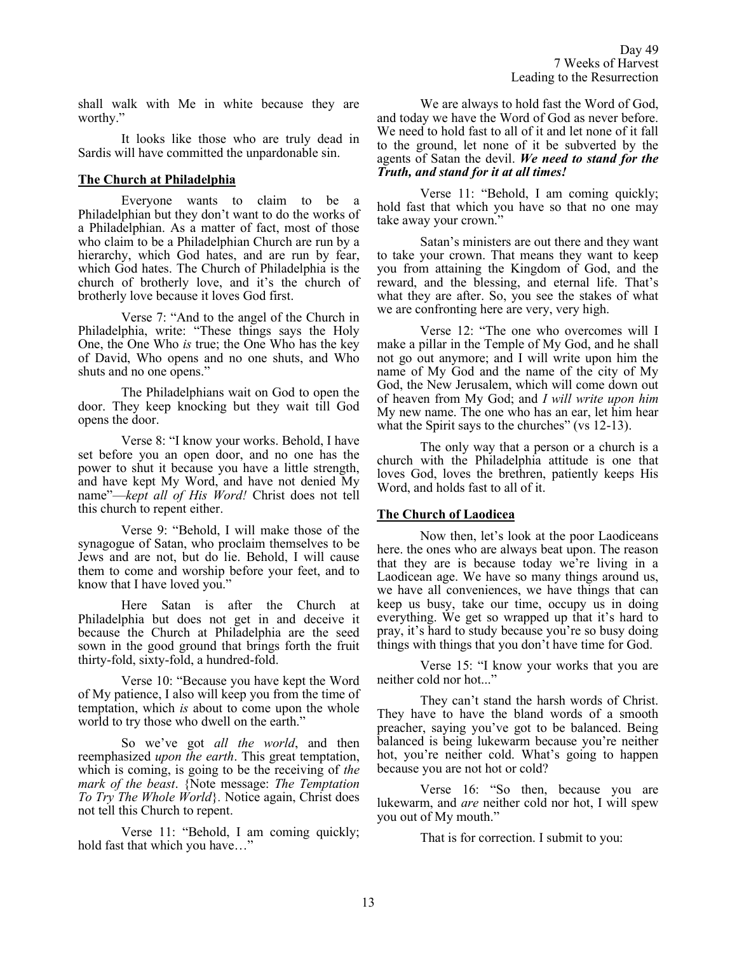shall walk with Me in white because they are worthy."

It looks like those who are truly dead in Sardis will have committed the unpardonable sin.

# **The Church at Philadelphia**

Everyone wants to claim to be a Philadelphian but they don't want to do the works of a Philadelphian. As a matter of fact, most of those who claim to be a Philadelphian Church are run by a hierarchy, which God hates, and are run by fear, which God hates. The Church of Philadelphia is the church of brotherly love, and it's the church of brotherly love because it loves God first.

Verse 7: "And to the angel of the Church in Philadelphia, write: "These things says the Holy One, the One Who *is* true; the One Who has the key of David, Who opens and no one shuts, and Who shuts and no one opens."

The Philadelphians wait on God to open the door. They keep knocking but they wait till God opens the door.

Verse 8: "I know your works. Behold, I have set before you an open door, and no one has the power to shut it because you have a little strength, and have kept My Word, and have not denied My name"—*kept all of His Word!* Christ does not tell this church to repent either.

Verse 9: "Behold, I will make those of the synagogue of Satan, who proclaim themselves to be Jews and are not, but do lie. Behold, I will cause them to come and worship before your feet, and to know that I have loved you."

Here Satan is after the Church at Philadelphia but does not get in and deceive it because the Church at Philadelphia are the seed sown in the good ground that brings forth the fruit thirty-fold, sixty-fold, a hundred-fold.

Verse 10: "Because you have kept the Word of My patience, I also will keep you from the time of temptation, which *is* about to come upon the whole world to try those who dwell on the earth."

So we've got *all the world*, and then reemphasized *upon the earth*. This great temptation, which is coming, is going to be the receiving of *the mark of the beast*. {Note message: *The Temptation To Try The Whole World*}*.* Notice again, Christ does not tell this Church to repent.

Verse 11: "Behold, I am coming quickly; hold fast that which you have…"

We are always to hold fast the Word of God, and today we have the Word of God as never before. We need to hold fast to all of it and let none of it fall to the ground, let none of it be subverted by the agents of Satan the devil. *We need to stand for the Truth, and stand for it at all times!* 

Verse 11: "Behold, I am coming quickly; hold fast that which you have so that no one may take away your crown."

Satan's ministers are out there and they want to take your crown. That means they want to keep you from attaining the Kingdom of God, and the reward, and the blessing, and eternal life. That's what they are after. So, you see the stakes of what we are confronting here are very, very high.

Verse 12: "The one who overcomes will I make a pillar in the Temple of My God, and he shall not go out anymore; and I will write upon him the name of My God and the name of the city of My God, the New Jerusalem, which will come down out of heaven from My God; and *I will write upon him* My new name. The one who has an ear, let him hear what the Spirit says to the churches" (vs 12-13).

The only way that a person or a church is a church with the Philadelphia attitude is one that loves God, loves the brethren, patiently keeps His Word, and holds fast to all of it.

# **The Church of Laodicea**

Now then, let's look at the poor Laodiceans here. the ones who are always beat upon. The reason that they are is because today we're living in a Laodicean age. We have so many things around us, we have all conveniences, we have things that can keep us busy, take our time, occupy us in doing everything. We get so wrapped up that it's hard to pray, it's hard to study because you're so busy doing things with things that you don't have time for God.

Verse 15: "I know your works that you are neither cold nor hot..."

They can't stand the harsh words of Christ. They have to have the bland words of a smooth preacher, saying you've got to be balanced. Being balanced is being lukewarm because you're neither hot, you're neither cold. What's going to happen because you are not hot or cold?

Verse 16: "So then, because you are lukewarm, and *are* neither cold nor hot, I will spew you out of My mouth."

That is for correction. I submit to you: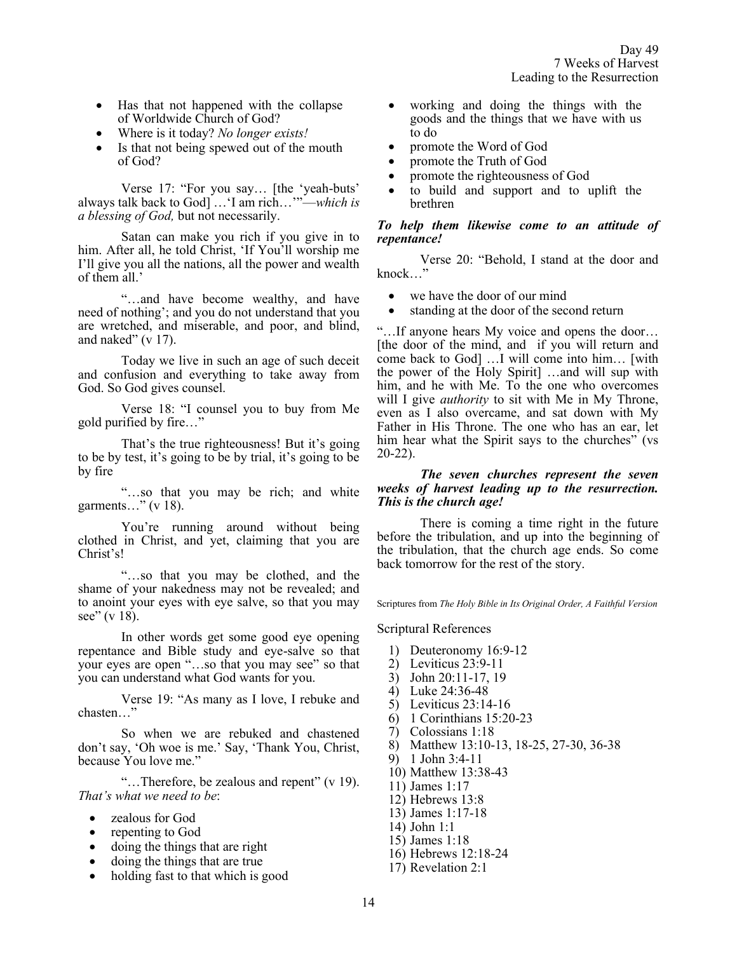- Has that not happened with the collapse of Worldwide Church of God?
- Where is it today? *No longer exists!*
- Is that not being spewed out of the mouth of God?

Verse 17: "For you say… [the 'yeah-buts' always talk back to God] …'I am rich…'"—*which is a blessing of God,* but not necessarily.

Satan can make you rich if you give in to him. After all, he told Christ, 'If You'll worship me I'll give you all the nations, all the power and wealth of them all.'

"…and have become wealthy, and have need of nothing'; and you do not understand that you are wretched, and miserable, and poor, and blind, and naked"  $(v 17)$ .

Today we live in such an age of such deceit and confusion and everything to take away from God. So God gives counsel.

Verse 18: "I counsel you to buy from Me gold purified by fire…"

That's the true righteousness! But it's going to be by test, it's going to be by trial, it's going to be by fire

"…so that you may be rich; and white garments…" (v 18).

You're running around without being clothed in Christ, and yet, claiming that you are Christ's!

"…so that you may be clothed, and the shame of your nakedness may not be revealed; and to anoint your eyes with eye salve, so that you may see" (v 18).

In other words get some good eye opening repentance and Bible study and eye-salve so that your eyes are open "…so that you may see" so that you can understand what God wants for you.

Verse 19: "As many as I love, I rebuke and chasten…"

So when we are rebuked and chastened don't say, 'Oh woe is me.' Say, 'Thank You, Christ, because You love me."

"…Therefore, be zealous and repent" (v 19). *That's what we need to be*:

- zealous for God
- repenting to God
- doing the things that are right
- doing the things that are true
- holding fast to that which is good
- working and doing the things with the goods and the things that we have with us to do
- promote the Word of God
- promote the Truth of God
- promote the righteousness of God
- to build and support and to uplift the brethren

# *To help them likewise come to an attitude of repentance!*

Verse 20: "Behold, I stand at the door and knock…"

- we have the door of our mind
- standing at the door of the second return

"…If anyone hears My voice and opens the door… [the door of the mind, and if you will return and come back to God] …I will come into him… [with the power of the Holy Spirit] …and will sup with him, and he with Me. To the one who overcomes will I give *authority* to sit with Me in My Throne, even as I also overcame, and sat down with My Father in His Throne. The one who has an ear, let him hear what the Spirit says to the churches" (vs 20-22).

#### *The seven churches represent the seven weeks of harvest leading up to the resurrection. This is the church age!*

There is coming a time right in the future before the tribulation, and up into the beginning of the tribulation, that the church age ends. So come back tomorrow for the rest of the story.

Scriptures from *The Holy Bible in Its Original Order, A Faithful Version*

Scriptural References

- 1) Deuteronomy 16:9-12
- 2) Leviticus 23:9-11
- 3) John 20:11-17, 19
- 4) Luke 24:36-48
- 5) Leviticus 23:14-16
- 6) 1 Corinthians 15:20-23
- 7) Colossians 1:18
- 8) Matthew 13:10-13, 18-25, 27-30, 36-38
- 9) 1 John 3:4-11
- 10) Matthew 13:38-43
- 11) James 1:17
- 12) Hebrews 13:8
- 13) James 1:17-18
- 14) John 1:1
- 15) James 1:18
- 16) Hebrews 12:18-24
- 17) Revelation 2:1